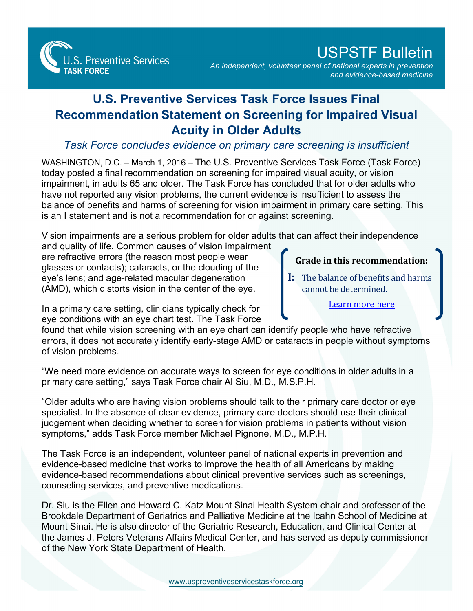**S. Preventive Services TASK FORCE** 

## USPSTF Bulletin

*An independent, volunteer panel of national experts in prevention and evidence-based medicine*

## **U.S. Preventive Services Task Force Issues Final Recommendation Statement on Screening for Impaired Visual Acuity in Older Adults**

## *Task Force concludes evidence on primary care screening is insufficient*

WASHINGTON, D.C. – March 1, 2016 – The U.S. Preventive Services Task Force (Task Force) today posted a final recommendation on screening for impaired visual acuity, or vision impairment, in adults 65 and older. The Task Force has concluded that for older adults who have not reported any vision problems, the current evidence is insufficient to assess the balance of benefits and harms of screening for vision impairment in primary care setting. This is an I statement and is not a recommendation for or against screening.

Vision impairments are a serious problem for older adults that can affect their independence

and quality of life. Common causes of vision impairment are refractive errors (the reason most people wear glasses or contacts); cataracts, or the clouding of the eye's lens; and age-related macular degeneration (AMD), which distorts vision in the center of the eye.

## **Grade in this recommendation:**

**I:** The balance of benefits and harms cannot be determined.

[Learn more here](http://www.uspreventiveservicestaskforce.org/Page/Name/grade-definitions)

In a primary care setting, clinicians typically check for eye conditions with an eye chart test. The Task Force

found that while vision screening with an eye chart can identify people who have refractive errors, it does not accurately identify early-stage AMD or cataracts in people without symptoms of vision problems.

"We need more evidence on accurate ways to screen for eye conditions in older adults in a primary care setting," says Task Force chair Al Siu, M.D., M.S.P.H.

"Older adults who are having vision problems should talk to their primary care doctor or eye specialist. In the absence of clear evidence, primary care doctors should use their clinical judgement when deciding whether to screen for vision problems in patients without vision symptoms," adds Task Force member Michael Pignone, M.D., M.P.H.

The Task Force is an independent, volunteer panel of national experts in prevention and evidence-based medicine that works to improve the health of all Americans by making evidence-based recommendations about clinical preventive services such as screenings, counseling services, and preventive medications.

Dr. Siu is the Ellen and Howard C. Katz Mount Sinai Health System chair and professor of the Brookdale Department of Geriatrics and Palliative Medicine at the Icahn School of Medicine at Mount Sinai. He is also director of the Geriatric Research, Education, and Clinical Center at the James J. Peters Veterans Affairs Medical Center, and has served as deputy commissioner of the New York State Department of Health.